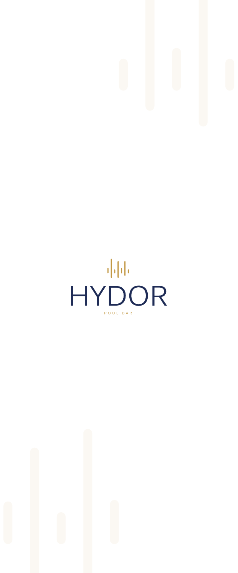

# HYDOR

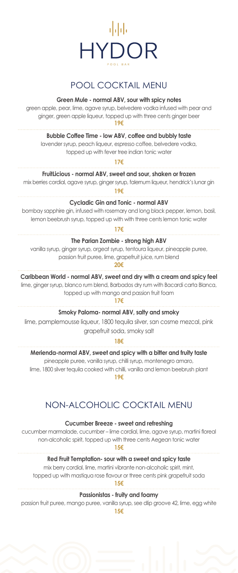

# POOL COCKTAIL MENU

# **Green Mule - normal ABV, sour with spicy notes**

green apple, pear, lime, agave syrup, belvedere vodka infused with pear and ginger, green apple liqueur, topped up with three cents ginger beer **19€**

**Bubble Coffee Time - low ABV, coffee and bubbly taste**

lavender syrup, peach liqueur, espresso coffee, belvedere vodka, topped up with fever tree indian tonic water

**17€**

**FruitLicious - normal ABV, sweet and sour, shaken or frozen**

mix berries cordial, agave syrup, ginger syrup, falernum liqueur, hendrick's lunar gin **19€**

**Cycladic Gin and Tonic - normal ABV** 

bombay sapphire gin, infused with rosemary and long black pepper, lemon, basil, lemon beebrush syrup, topped up with with three cents lemon tonic water

**17€**

# **The Parian Zombie - strong high ABV**

vanilla syrup, ginger syrup, orgeat syrup, tentoura liqueur, pineapple puree, passion fruit puree, lime, grapefruit juice, rum blend

**20€**

Caribbean World - normal ABV, sweet and dry with a cream and spicy feel

lime, ginger syrup, blanco rum blend, Barbados dry rum with Bacardi carta Blanca, topped up with mango and passion fruit foam

**17€**

**Smoky Paloma- normal ABV, salty and smoky** 

lime, pamplemousse liqueur, 1800 tequila silver, san cosme mezcal, pink grapefruit soda, smoky salt

**18€**

**Merienda-normal ABV, sweet and spicy with a bitter and fruity taste**

pineapple puree, vanilla syrup, chilli syrup, montenegro amaro, lime, 1800 silver tequila cooked with chilli, vanilla and lemon beebrush plant **19€**

NON-ALCOHOLIC COCKTAIL MENU

**Cucumber Breeze - sweet and refreshing** 

cucumber marmalade, cucumber – lime cordial, lime, agave syrup, martini floreal non-alcoholic spirit, topped up with three cents Aegean tonic water

**15€**

**Red Fruit Temptation- sour with a sweet and spicy taste**

mix berry cordial, lime, martini vibrante non-alcoholic spirit, mint, topped up with mastiqua rose flavour or three cents pink grapefruit soda

**15€**

**Passionistas - fruity and foamy**

passion fruit puree, mango puree, vanilla syrup, see dlip groove 42, lime, egg white **15€**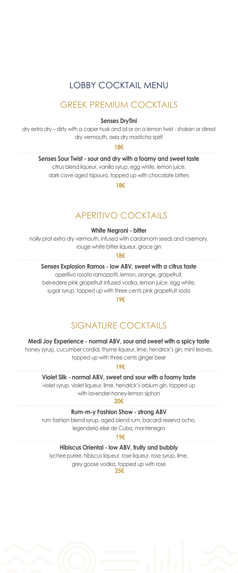# LOBBY COCKTAIL MENU

# GREEK PREMIUM COCKTAILS

### **Senses DryTini**

dry extra dry – dirty with a caper husk and oil or on a lemon twist - shaken or stirred dry vermouth, axia dry masticha spirit

**18€**

### **Senses Sour Twist - sour and dry with a foamy and sweet taste**

citrus blend liqueur, vanilla syrup, egg white, lemon juice, dark cave aged tsipouro, topped up with chocolate bitters

**18€**

# APERITIVO COCKTAILS

### **White Negroni - bitter**

noilly prat extra dry vermouth, infused with cardamom seeds and rosemary, rouge white bitter liqueur, grace gin

**18€**

# **Senses Explosion Ramos - low ABV, sweet with a citrus taste**

aperitivo rosato ramazzotti, lemon, orange, grapefruit, belvedere pink grapefruit infused vodka, lemon juice, egg white, sugar syrup, topped up with three cents pink grapefruit soda

**19€**

# SIGNATURE COCKTAILS

# **Medi Joy Experience - normal ABV, sour and sweet with a spicy taste**

honey syrup, cucumber cordial, thyme liqueur, lime, hendrick's gin, mint leaves, topped up with three cents ginger beer

**19€**

# **Violet Silk - normal ABV, sweet and sour with a foamy taste**

violet syrup, violet liqueur, lime, hendrick's orbium gin, topped up with lavender-honey-lemon siphon

**20€**

### **Rum-m-y Fashion Show - strong ABV**

rum fashion blend syrup, aged blend rum, bacardi reserva ocho, legenderio elixir de Cuba, montenegro

**19€**

# **Hibiscus Oriental - low ABV, fruity and bubbly**

lychee puree, hibiscus liqueur, rose liqueur, rose syrup, lime, grey goose vodka, topped up with rose  **25€**